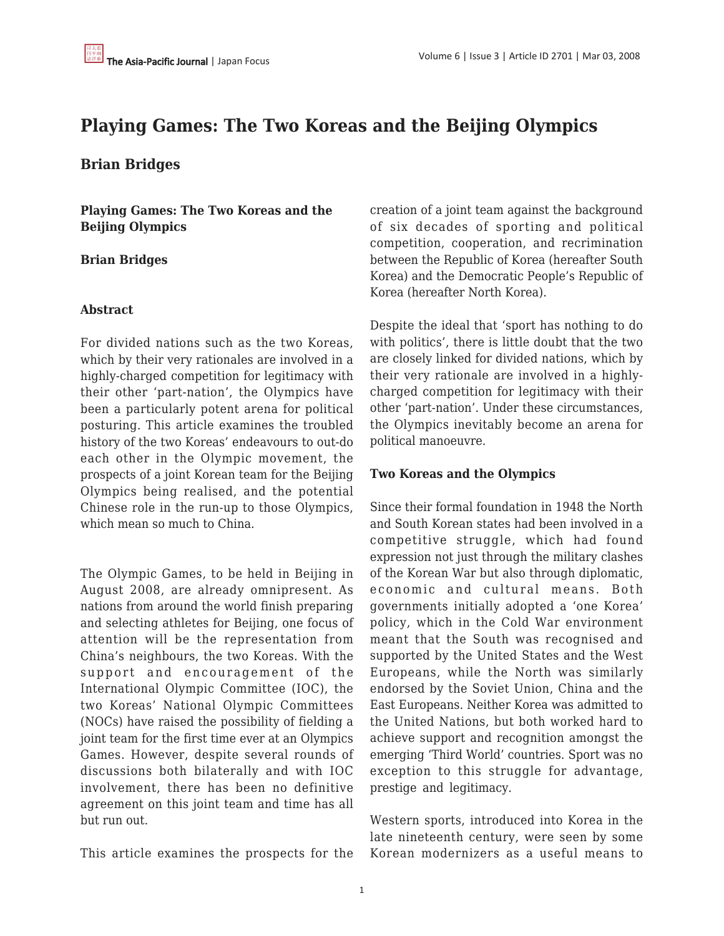# **Playing Games: The Two Koreas and the Beijing Olympics**

## **Brian Bridges**

**Playing Games: The Two Koreas and the Beijing Olympics**

#### **Brian Bridges**

#### **Abstract**

For divided nations such as the two Koreas, which by their very rationales are involved in a highly-charged competition for legitimacy with their other 'part-nation', the Olympics have been a particularly potent arena for political posturing. This article examines the troubled history of the two Koreas' endeavours to out-do each other in the Olympic movement, the prospects of a joint Korean team for the Beijing Olympics being realised, and the potential Chinese role in the run-up to those Olympics, which mean so much to China.

The Olympic Games, to be held in Beijing in August 2008, are already omnipresent. As nations from around the world finish preparing and selecting athletes for Beijing, one focus of attention will be the representation from China's neighbours, the two Koreas. With the support and encouragement of the International Olympic Committee (IOC), the two Koreas' National Olympic Committees (NOCs) have raised the possibility of fielding a joint team for the first time ever at an Olympics Games. However, despite several rounds of discussions both bilaterally and with IOC involvement, there has been no definitive agreement on this joint team and time has all but run out.

This article examines the prospects for the

creation of a joint team against the background of six decades of sporting and political competition, cooperation, and recrimination between the Republic of Korea (hereafter South Korea) and the Democratic People's Republic of Korea (hereafter North Korea).

Despite the ideal that 'sport has nothing to do with politics', there is little doubt that the two are closely linked for divided nations, which by their very rationale are involved in a highlycharged competition for legitimacy with their other 'part-nation'. Under these circumstances, the Olympics inevitably become an arena for political manoeuvre.

#### **Two Koreas and the Olympics**

Since their formal foundation in 1948 the North and South Korean states had been involved in a competitive struggle, which had found expression not just through the military clashes of the Korean War but also through diplomatic, economic and cultural means. Both governments initially adopted a 'one Korea' policy, which in the Cold War environment meant that the South was recognised and supported by the United States and the West Europeans, while the North was similarly endorsed by the Soviet Union, China and the East Europeans. Neither Korea was admitted to the United Nations, but both worked hard to achieve support and recognition amongst the emerging 'Third World' countries. Sport was no exception to this struggle for advantage, prestige and legitimacy.

Western sports, introduced into Korea in the late nineteenth century, were seen by some Korean modernizers as a useful means to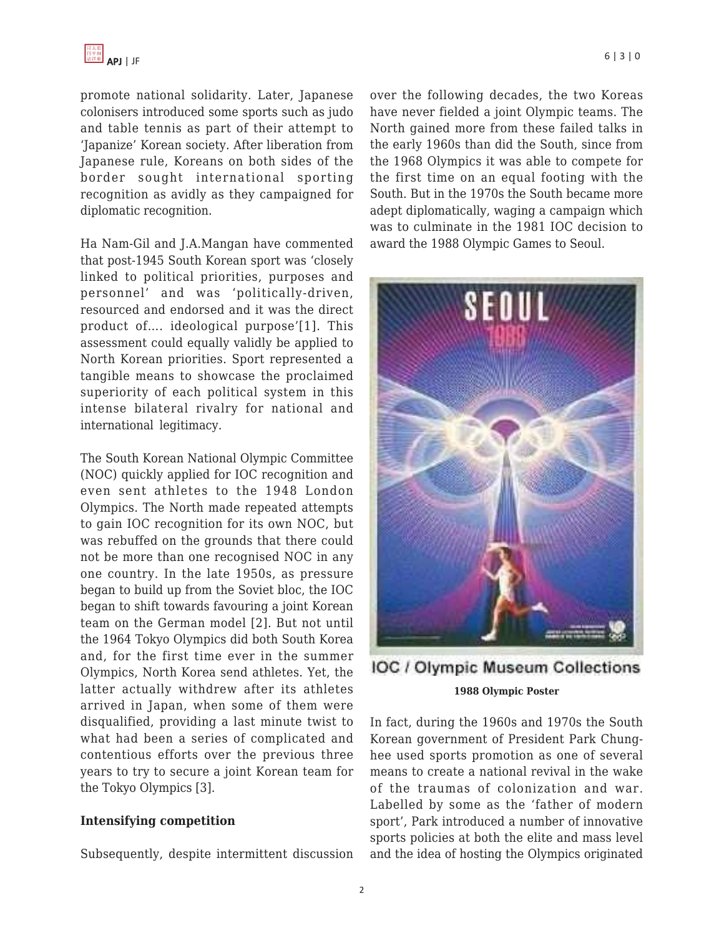promote national solidarity. Later, Japanese colonisers introduced some sports such as judo and table tennis as part of their attempt to 'Japanize' Korean society. After liberation from Japanese rule, Koreans on both sides of the border sought international sporting recognition as avidly as they campaigned for diplomatic recognition.

Ha Nam-Gil and J.A.Mangan have commented that post-1945 South Korean sport was 'closely linked to political priorities, purposes and personnel' and was 'politically-driven, resourced and endorsed and it was the direct product of…. ideological purpose'[1]. This assessment could equally validly be applied to North Korean priorities. Sport represented a tangible means to showcase the proclaimed superiority of each political system in this intense bilateral rivalry for national and international legitimacy.

The South Korean National Olympic Committee (NOC) quickly applied for IOC recognition and even sent athletes to the 1948 London Olympics. The North made repeated attempts to gain IOC recognition for its own NOC, but was rebuffed on the grounds that there could not be more than one recognised NOC in any one country. In the late 1950s, as pressure began to build up from the Soviet bloc, the IOC began to shift towards favouring a joint Korean team on the German model [2]. But not until the 1964 Tokyo Olympics did both South Korea and, for the first time ever in the summer Olympics, North Korea send athletes. Yet, the latter actually withdrew after its athletes arrived in Japan, when some of them were disqualified, providing a last minute twist to what had been a series of complicated and contentious efforts over the previous three years to try to secure a joint Korean team for the Tokyo Olympics [3].

### **Intensifying competition**

Subsequently, despite intermittent discussion

over the following decades, the two Koreas have never fielded a joint Olympic teams. The North gained more from these failed talks in the early 1960s than did the South, since from the 1968 Olympics it was able to compete for the first time on an equal footing with the South. But in the 1970s the South became more adept diplomatically, waging a campaign which was to culminate in the 1981 IOC decision to award the 1988 Olympic Games to Seoul.



IOC / Olympic Museum Collections **1988 Olympic Poster**

In fact, during the 1960s and 1970s the South Korean government of President Park Chunghee used sports promotion as one of several means to create a national revival in the wake of the traumas of colonization and war. Labelled by some as the 'father of modern sport', Park introduced a number of innovative sports policies at both the elite and mass level and the idea of hosting the Olympics originated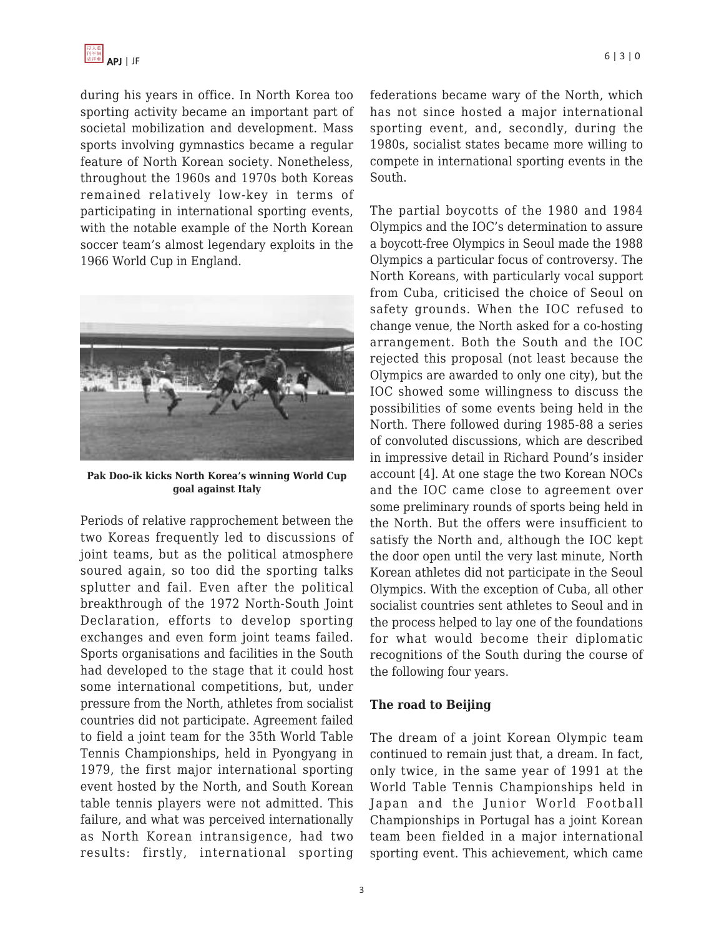during his years in office. In North Korea too sporting activity became an important part of societal mobilization and development. Mass sports involving gymnastics became a regular feature of North Korean society. Nonetheless, throughout the 1960s and 1970s both Koreas remained relatively low-key in terms of participating in international sporting events, with the notable example of the North Korean soccer team's almost legendary exploits in the 1966 World Cup in England.



**Pak Doo-ik kicks North Korea's winning World Cup goal against Italy**

Periods of relative rapprochement between the two Koreas frequently led to discussions of joint teams, but as the political atmosphere soured again, so too did the sporting talks splutter and fail. Even after the political breakthrough of the 1972 North-South Joint Declaration, efforts to develop sporting exchanges and even form joint teams failed. Sports organisations and facilities in the South had developed to the stage that it could host some international competitions, but, under pressure from the North, athletes from socialist countries did not participate. Agreement failed to field a joint team for the 35th World Table Tennis Championships, held in Pyongyang in 1979, the first major international sporting event hosted by the North, and South Korean table tennis players were not admitted. This failure, and what was perceived internationally as North Korean intransigence, had two results: firstly, international sporting federations became wary of the North, which has not since hosted a major international sporting event, and, secondly, during the 1980s, socialist states became more willing to compete in international sporting events in the South.

The partial boycotts of the 1980 and 1984 Olympics and the IOC's determination to assure a boycott-free Olympics in Seoul made the 1988 Olympics a particular focus of controversy. The North Koreans, with particularly vocal support from Cuba, criticised the choice of Seoul on safety grounds. When the IOC refused to change venue, the North asked for a co-hosting arrangement. Both the South and the IOC rejected this proposal (not least because the Olympics are awarded to only one city), but the IOC showed some willingness to discuss the possibilities of some events being held in the North. There followed during 1985-88 a series of convoluted discussions, which are described in impressive detail in Richard Pound's insider account [4]. At one stage the two Korean NOCs and the IOC came close to agreement over some preliminary rounds of sports being held in the North. But the offers were insufficient to satisfy the North and, although the IOC kept the door open until the very last minute, North Korean athletes did not participate in the Seoul Olympics. With the exception of Cuba, all other socialist countries sent athletes to Seoul and in the process helped to lay one of the foundations for what would become their diplomatic recognitions of the South during the course of the following four years.

#### **The road to Beijing**

The dream of a joint Korean Olympic team continued to remain just that, a dream. In fact, only twice, in the same year of 1991 at the World Table Tennis Championships held in Japan and the Junior World Football Championships in Portugal has a joint Korean team been fielded in a major international sporting event. This achievement, which came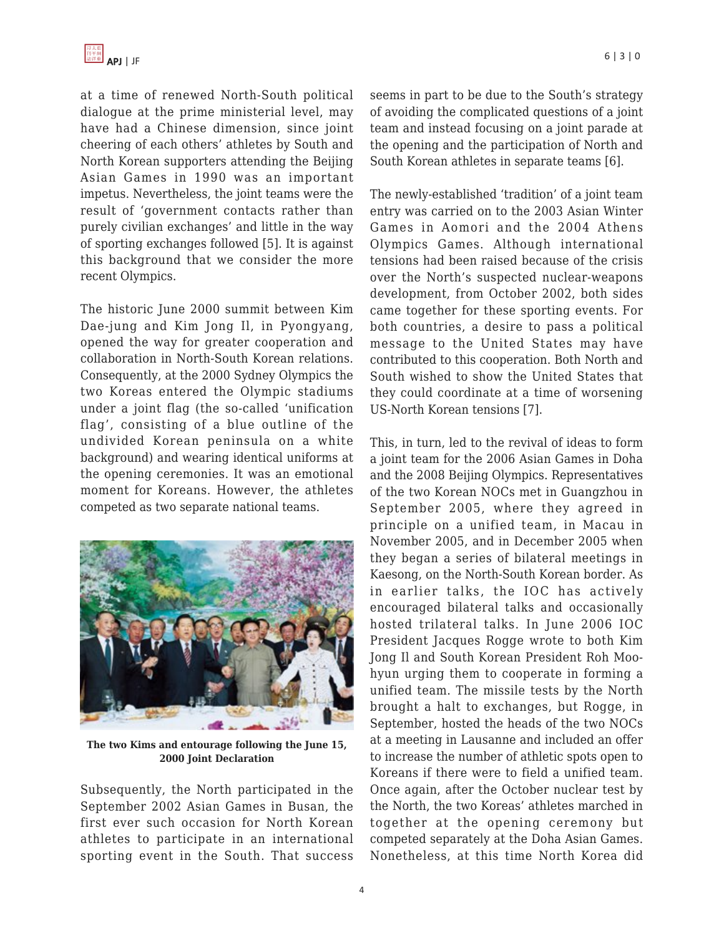at a time of renewed North-South political dialogue at the prime ministerial level, may have had a Chinese dimension, since joint cheering of each others' athletes by South and North Korean supporters attending the Beijing Asian Games in 1990 was an important impetus. Nevertheless, the joint teams were the result of 'government contacts rather than purely civilian exchanges' and little in the way of sporting exchanges followed [5]. It is against this background that we consider the more recent Olympics.

The historic June 2000 summit between Kim Dae-jung and Kim Jong Il, in Pyongyang, opened the way for greater cooperation and collaboration in North-South Korean relations. Consequently, at the 2000 Sydney Olympics the two Koreas entered the Olympic stadiums under a joint flag (the so-called 'unification flag', consisting of a blue outline of the undivided Korean peninsula on a white background) and wearing identical uniforms at the opening ceremonies. It was an emotional moment for Koreans. However, the athletes competed as two separate national teams.



**The two Kims and entourage following the June 15, 2000 Joint Declaration**

Subsequently, the North participated in the September 2002 Asian Games in Busan, the first ever such occasion for North Korean athletes to participate in an international sporting event in the South. That success seems in part to be due to the South's strategy of avoiding the complicated questions of a joint team and instead focusing on a joint parade at the opening and the participation of North and South Korean athletes in separate teams [6].

The newly-established 'tradition' of a joint team entry was carried on to the 2003 Asian Winter Games in Aomori and the 2004 Athens Olympics Games. Although international tensions had been raised because of the crisis over the North's suspected nuclear-weapons development, from October 2002, both sides came together for these sporting events. For both countries, a desire to pass a political message to the United States may have contributed to this cooperation. Both North and South wished to show the United States that they could coordinate at a time of worsening US-North Korean tensions [7].

This, in turn, led to the revival of ideas to form a joint team for the 2006 Asian Games in Doha and the 2008 Beijing Olympics. Representatives of the two Korean NOCs met in Guangzhou in September 2005, where they agreed in principle on a unified team, in Macau in November 2005, and in December 2005 when they began a series of bilateral meetings in Kaesong, on the North-South Korean border. As in earlier talks, the IOC has actively encouraged bilateral talks and occasionally hosted trilateral talks. In June 2006 IOC President Jacques Rogge wrote to both Kim Jong Il and South Korean President Roh Moohyun urging them to cooperate in forming a unified team. The missile tests by the North brought a halt to exchanges, but Rogge, in September, hosted the heads of the two NOCs at a meeting in Lausanne and included an offer to increase the number of athletic spots open to Koreans if there were to field a unified team. Once again, after the October nuclear test by the North, the two Koreas' athletes marched in together at the opening ceremony but competed separately at the Doha Asian Games. Nonetheless, at this time North Korea did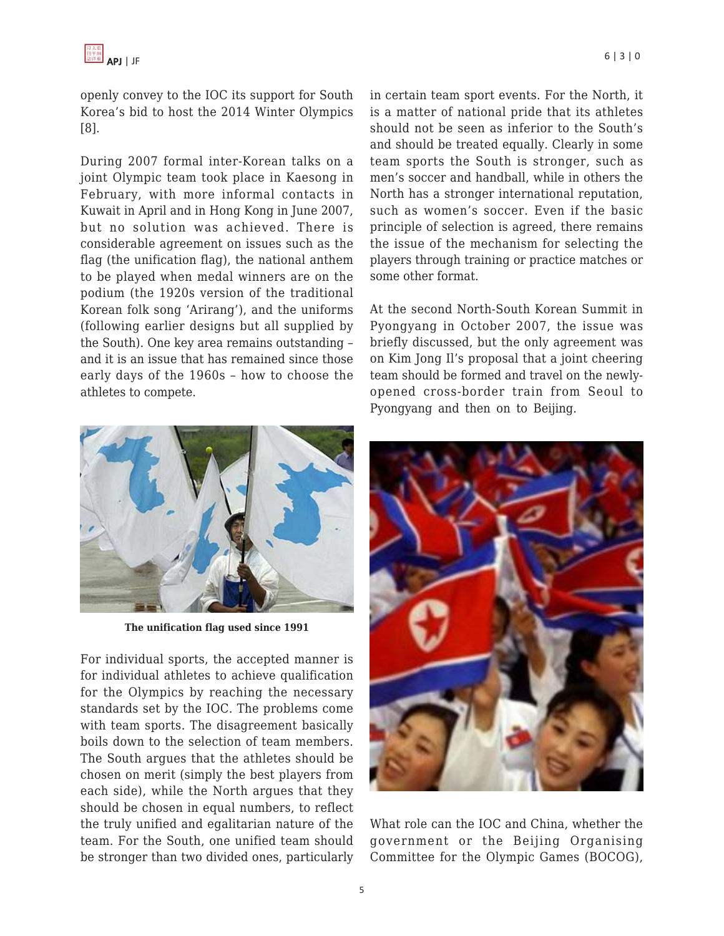openly convey to the IOC its support for South Korea's bid to host the 2014 Winter Olympics [8].

During 2007 formal inter-Korean talks on a joint Olympic team took place in Kaesong in February, with more informal contacts in Kuwait in April and in Hong Kong in June 2007, but no solution was achieved. There is considerable agreement on issues such as the flag (the unification flag), the national anthem to be played when medal winners are on the podium (the 1920s version of the traditional Korean folk song 'Arirang'), and the uniforms (following earlier designs but all supplied by the South). One key area remains outstanding – and it is an issue that has remained since those early days of the 1960s – how to choose the athletes to compete.



**The unification flag used since 1991**

For individual sports, the accepted manner is for individual athletes to achieve qualification for the Olympics by reaching the necessary standards set by the IOC. The problems come with team sports. The disagreement basically boils down to the selection of team members. The South argues that the athletes should be chosen on merit (simply the best players from each side), while the North argues that they should be chosen in equal numbers, to reflect the truly unified and egalitarian nature of the team. For the South, one unified team should be stronger than two divided ones, particularly in certain team sport events. For the North, it is a matter of national pride that its athletes should not be seen as inferior to the South's and should be treated equally. Clearly in some team sports the South is stronger, such as men's soccer and handball, while in others the North has a stronger international reputation, such as women's soccer. Even if the basic principle of selection is agreed, there remains the issue of the mechanism for selecting the players through training or practice matches or some other format.

At the second North-South Korean Summit in Pyongyang in October 2007, the issue was briefly discussed, but the only agreement was on Kim Jong Il's proposal that a joint cheering team should be formed and travel on the newlyopened cross-border train from Seoul to Pyongyang and then on to Beijing.



What role can the IOC and China, whether the government or the Beijing Organising Committee for the Olympic Games (BOCOG),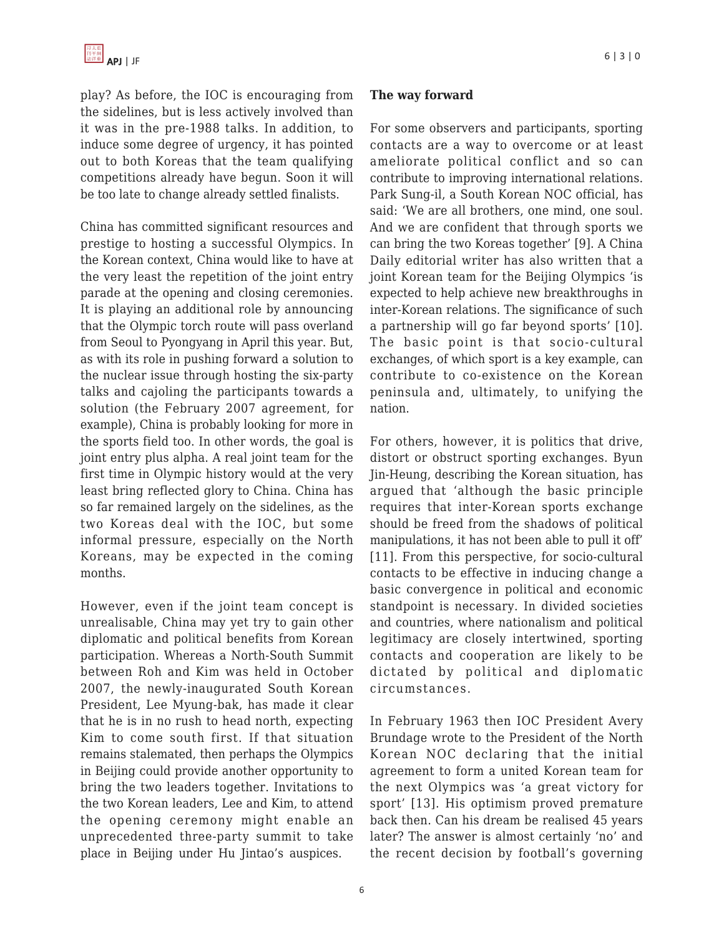play? As before, the IOC is encouraging from the sidelines, but is less actively involved than it was in the pre-1988 talks. In addition, to induce some degree of urgency, it has pointed out to both Koreas that the team qualifying competitions already have begun. Soon it will be too late to change already settled finalists.

China has committed significant resources and prestige to hosting a successful Olympics. In the Korean context, China would like to have at the very least the repetition of the joint entry parade at the opening and closing ceremonies. It is playing an additional role by announcing that the Olympic torch route will pass overland from Seoul to Pyongyang in April this year. But, as with its role in pushing forward a solution to the nuclear issue through hosting the six-party talks and cajoling the participants towards a solution (the February 2007 agreement, for example), China is probably looking for more in the sports field too. In other words, the goal is joint entry plus alpha. A real joint team for the first time in Olympic history would at the very least bring reflected glory to China. China has so far remained largely on the sidelines, as the two Koreas deal with the IOC, but some informal pressure, especially on the North Koreans, may be expected in the coming months.

However, even if the joint team concept is unrealisable, China may yet try to gain other diplomatic and political benefits from Korean participation. Whereas a North-South Summit between Roh and Kim was held in October 2007, the newly-inaugurated South Korean President, Lee Myung-bak, has made it clear that he is in no rush to head north, expecting Kim to come south first. If that situation remains stalemated, then perhaps the Olympics in Beijing could provide another opportunity to bring the two leaders together. Invitations to the two Korean leaders, Lee and Kim, to attend the opening ceremony might enable an unprecedented three-party summit to take place in Beijing under Hu Jintao's auspices.

#### **The way forward**

For some observers and participants, sporting contacts are a way to overcome or at least ameliorate political conflict and so can contribute to improving international relations. Park Sung-il, a South Korean NOC official, has said: 'We are all brothers, one mind, one soul. And we are confident that through sports we can bring the two Koreas together' [9]. A China Daily editorial writer has also written that a joint Korean team for the Beijing Olympics 'is expected to help achieve new breakthroughs in inter-Korean relations. The significance of such a partnership will go far beyond sports' [10]. The basic point is that socio-cultural exchanges, of which sport is a key example, can contribute to co-existence on the Korean peninsula and, ultimately, to unifying the nation.

For others, however, it is politics that drive, distort or obstruct sporting exchanges. Byun Jin-Heung, describing the Korean situation, has argued that 'although the basic principle requires that inter-Korean sports exchange should be freed from the shadows of political manipulations, it has not been able to pull it off' [11]. From this perspective, for socio-cultural contacts to be effective in inducing change a basic convergence in political and economic standpoint is necessary. In divided societies and countries, where nationalism and political legitimacy are closely intertwined, sporting contacts and cooperation are likely to be dictated by political and diplomatic circumstances.

In February 1963 then IOC President Avery Brundage wrote to the President of the North Korean NOC declaring that the initial agreement to form a united Korean team for the next Olympics was 'a great victory for sport' [13]. His optimism proved premature back then. Can his dream be realised 45 years later? The answer is almost certainly 'no' and the recent decision by football's governing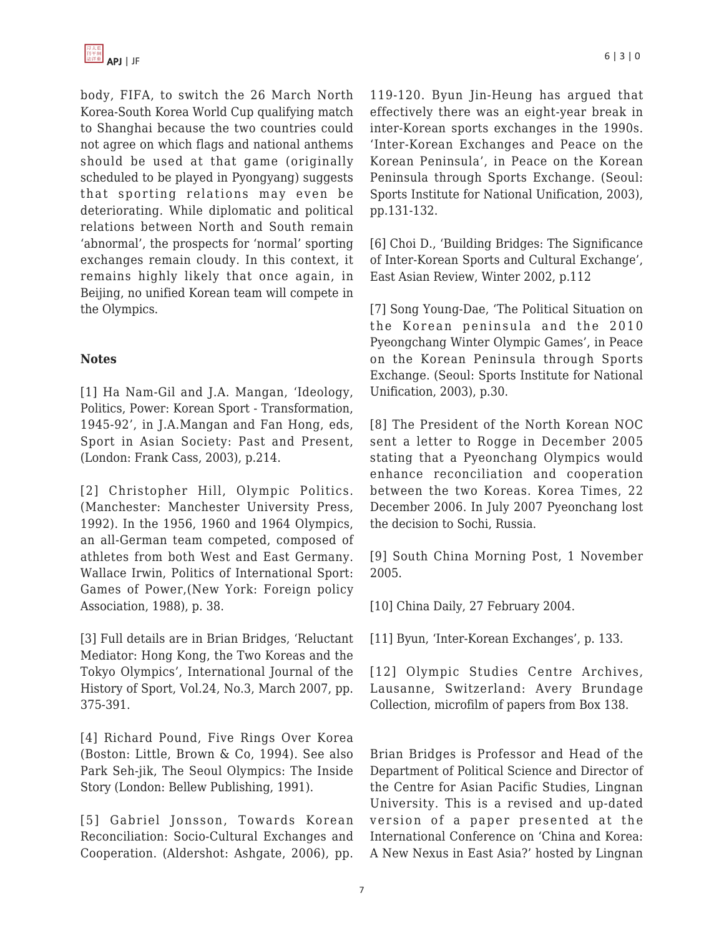body, FIFA, to switch the 26 March North Korea-South Korea World Cup qualifying match to Shanghai because the two countries could not agree on which flags and national anthems should be used at that game (originally scheduled to be played in Pyongyang) suggests that sporting relations may even be deteriorating. While diplomatic and political relations between North and South remain 'abnormal', the prospects for 'normal' sporting exchanges remain cloudy. In this context, it remains highly likely that once again, in Beijing, no unified Korean team will compete in the Olympics.

### **Notes**

[1] Ha Nam-Gil and J.A. Mangan, 'Ideology, Politics, Power: Korean Sport - Transformation, 1945-92', in J.A.Mangan and Fan Hong, eds, Sport in Asian Society: Past and Present, (London: Frank Cass, 2003), p.214.

[2] Christopher Hill, Olympic Politics. (Manchester: Manchester University Press, 1992). In the 1956, 1960 and 1964 Olympics, an all-German team competed, composed of athletes from both West and East Germany. Wallace Irwin, Politics of International Sport: Games of Power,(New York: Foreign policy Association, 1988), p. 38.

[3] Full details are in Brian Bridges, 'Reluctant Mediator: Hong Kong, the Two Koreas and the Tokyo Olympics', International Journal of the History of Sport, Vol.24, No.3, March 2007, pp. 375-391.

[4] Richard Pound, Five Rings Over Korea (Boston: Little, Brown & Co, 1994). See also Park Seh-jik, The Seoul Olympics: The Inside Story (London: Bellew Publishing, 1991).

[5] Gabriel Jonsson, Towards Korean Reconciliation: Socio-Cultural Exchanges and Cooperation. (Aldershot: Ashgate, 2006), pp. 119-120. Byun Jin-Heung has argued that effectively there was an eight-year break in inter-Korean sports exchanges in the 1990s. 'Inter-Korean Exchanges and Peace on the Korean Peninsula', in Peace on the Korean Peninsula through Sports Exchange. (Seoul: Sports Institute for National Unification, 2003), pp.131-132.

[6] Choi D., 'Building Bridges: The Significance of Inter-Korean Sports and Cultural Exchange', East Asian Review, Winter 2002, p.112

[7] Song Young-Dae, 'The Political Situation on the Korean peninsula and the 2010 Pyeongchang Winter Olympic Games', in Peace on the Korean Peninsula through Sports Exchange. (Seoul: Sports Institute for National Unification, 2003), p.30.

[8] The President of the North Korean NOC sent a letter to Rogge in December 2005 stating that a Pyeonchang Olympics would enhance reconciliation and cooperation between the two Koreas. Korea Times, 22 December 2006. In July 2007 Pyeonchang lost the decision to Sochi, Russia.

[9] South China Morning Post, 1 November 2005.

[10] China Daily, 27 February 2004.

[11] Byun, 'Inter-Korean Exchanges', p. 133.

[12] Olympic Studies Centre Archives, Lausanne, Switzerland: Avery Brundage Collection, microfilm of papers from Box 138.

Brian Bridges is Professor and Head of the Department of Political Science and Director of the Centre for Asian Pacific Studies, Lingnan University. This is a revised and up-dated version of a paper presented at the International Conference on 'China and Korea: A New Nexus in East Asia?' hosted by Lingnan